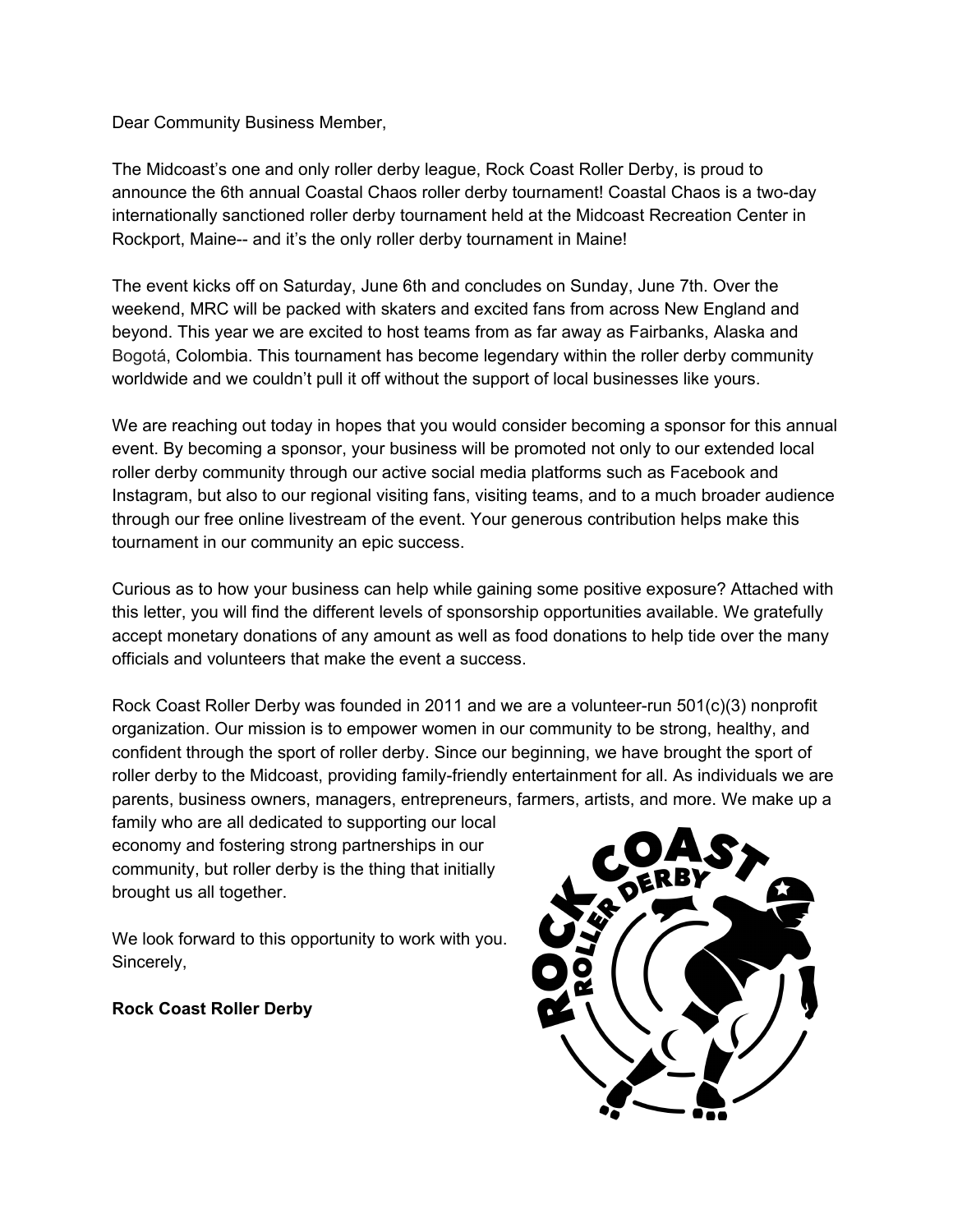Dear Community Business Member,

The Midcoast's one and only roller derby league, Rock Coast Roller Derby, is proud to announce the 6th annual Coastal Chaos roller derby tournament! Coastal Chaos is a two-day internationally sanctioned roller derby tournament held at the Midcoast Recreation Center in Rockport, Maine-- and it's the only roller derby tournament in Maine!

The event kicks off on Saturday, June 6th and concludes on Sunday, June 7th. Over the weekend, MRC will be packed with skaters and excited fans from across New England and beyond. This year we are excited to host teams from as far away as Fairbanks, Alaska and Bogotá, Colombia. This tournament has become legendary within the roller derby community worldwide and we couldn't pull it off without the support of local businesses like yours.

We are reaching out today in hopes that you would consider becoming a sponsor for this annual event. By becoming a sponsor, your business will be promoted not only to our extended local roller derby community through our active social media platforms such as Facebook and Instagram, but also to our regional visiting fans, visiting teams, and to a much broader audience through our free online livestream of the event. Your generous contribution helps make this tournament in our community an epic success.

Curious as to how your business can help while gaining some positive exposure? Attached with this letter, you will find the different levels of sponsorship opportunities available. We gratefully accept monetary donations of any amount as well as food donations to help tide over the many officials and volunteers that make the event a success.

Rock Coast Roller Derby was founded in 2011 and we are a volunteer-run 501(c)(3) nonprofit organization. Our mission is to empower women in our community to be strong, healthy, and confident through the sport of roller derby. Since our beginning, we have brought the sport of roller derby to the Midcoast, providing family-friendly entertainment for all. As individuals we are parents, business owners, managers, entrepreneurs, farmers, artists, and more. We make up a

family who are all dedicated to supporting our local economy and fostering strong partnerships in our community, but roller derby is the thing that initially brought us all together.

We look forward to this opportunity to work with you. Sincerely,

**Rock Coast Roller Derby**

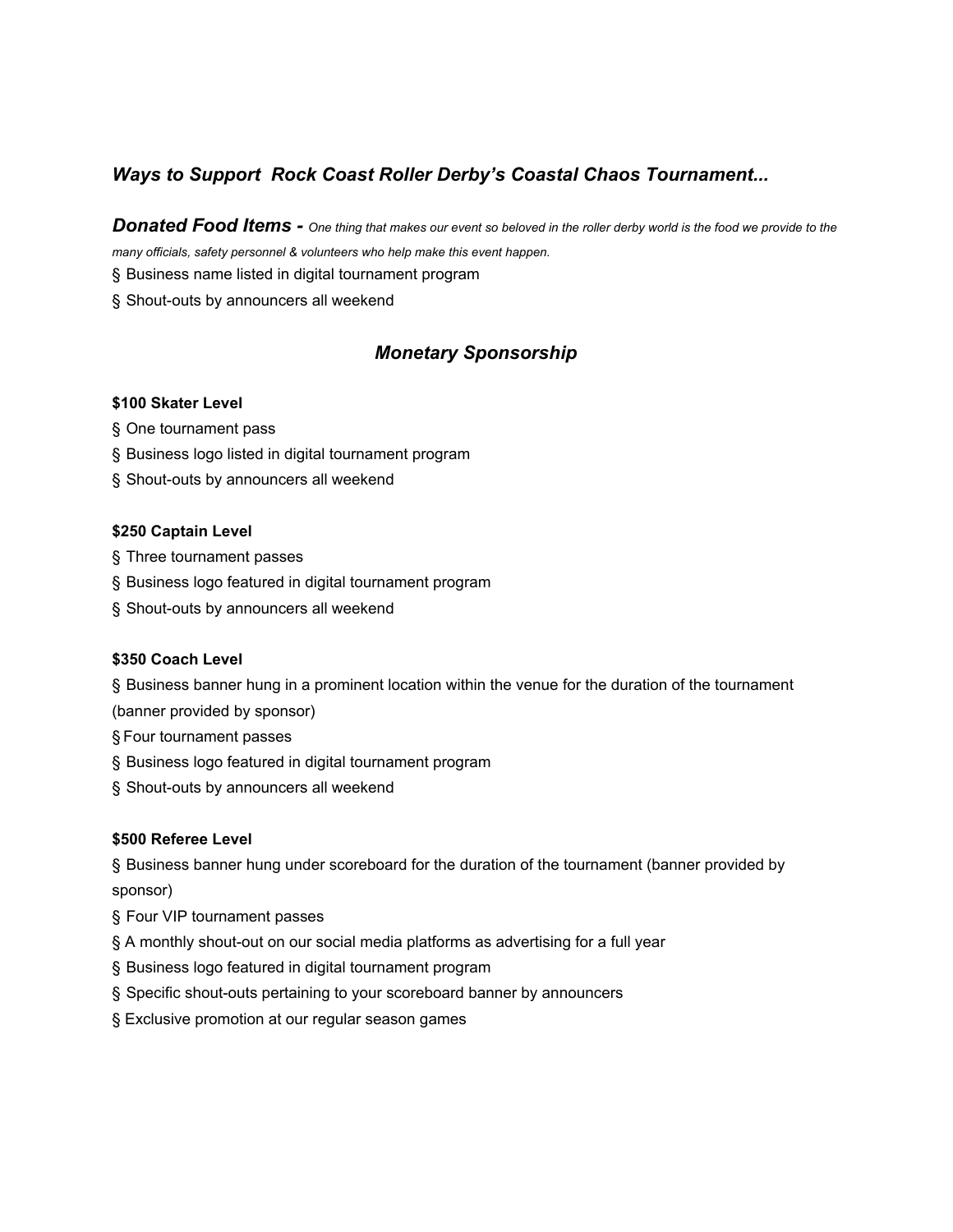# *Ways to Support Rock Coast Roller Derby's Coastal Chaos Tournament...*

Donated Food Items - One thing that makes our event so beloved in the roller derby world is the food we provide to the *many officials, safety personnel & volunteers who help make this event happen.*

§ Business name listed in digital tournament program

§ Shout-outs by announcers all weekend

### *Monetary Sponsorship*

#### **\$100 Skater Level**

- § One tournament pass
- § Business logo listed in digital tournament program
- § Shout-outs by announcers all weekend

#### **\$250 Captain Level**

- § Three tournament passes
- § Business logo featured in digital tournament program
- § Shout-outs by announcers all weekend

#### **\$350 Coach Level**

§ Business banner hung in a prominent location within the venue for the duration of the tournament

- (banner provided by sponsor)
- § Four tournament passes
- § Business logo featured in digital tournament program
- § Shout-outs by announcers all weekend

### **\$500 Referee Level**

§ Business banner hung under scoreboard for the duration of the tournament (banner provided by sponsor)

- § Four VIP tournament passes
- § A monthly shout-out on our social media platforms as advertising for a full year
- § Business logo featured in digital tournament program
- § Specific shout-outs pertaining to your scoreboard banner by announcers
- § Exclusive promotion at our regular season games